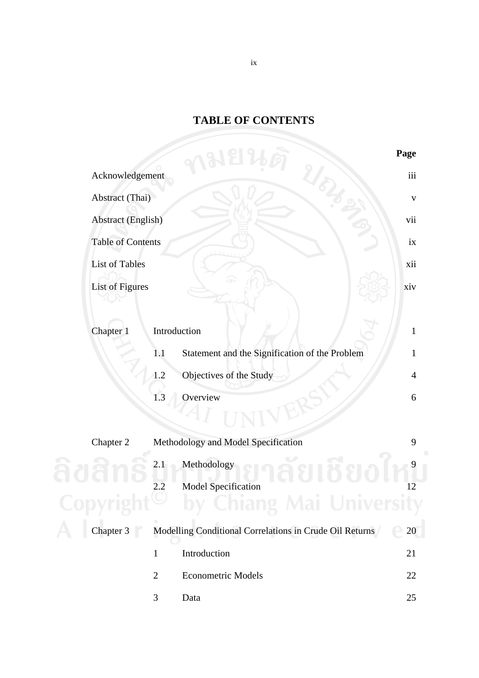## **TABLE OF CONTENTS**

|                           |                |                                                         | Page           |
|---------------------------|----------------|---------------------------------------------------------|----------------|
| Acknowledgement           |                |                                                         | iii            |
| Abstract (Thai)           |                |                                                         | $\mathbf{V}$   |
| <b>Abstract (English)</b> |                |                                                         | vii            |
| <b>Table of Contents</b>  |                |                                                         | ix             |
| <b>List of Tables</b>     |                |                                                         | xii            |
| <b>List of Figures</b>    |                |                                                         | xiv            |
| Chapter 1                 |                | Introduction                                            | $\mathbf{1}$   |
|                           | 1.1            | Statement and the Signification of the Problem          | $\mathbf{1}$   |
|                           | 1.2            | Objectives of the Study                                 | $\overline{4}$ |
|                           | 1.3            | Overview                                                | 6              |
| Chapter 2                 |                | Methodology and Model Specification                     | 9              |
|                           | 2.1            | Methodology                                             |                |
|                           | 2.2            | <b>Model Specification</b>                              | 12             |
|                           |                |                                                         |                |
| Chapter 3                 |                | Modelling Conditional Correlations in Crude Oil Returns | 20             |
|                           | $\mathbf{1}$   | Introduction                                            | 21             |
|                           | $\overline{2}$ | <b>Econometric Models</b>                               | 22             |
|                           | 3              | Data                                                    | 25             |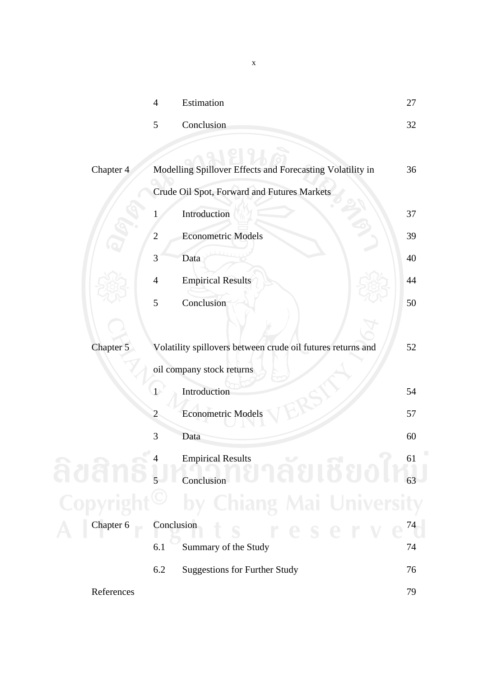|            | $\overline{4}$ | Estimation                                                  | 27 |
|------------|----------------|-------------------------------------------------------------|----|
|            | 5              | Conclusion                                                  | 32 |
|            |                |                                                             |    |
| Chapter 4  |                | Modelling Spillover Effects and Forecasting Volatility in   | 36 |
|            |                | Crude Oil Spot, Forward and Futures Markets                 |    |
|            | T              | Introduction                                                | 37 |
|            | $\overline{2}$ | <b>Econometric Models</b>                                   | 39 |
|            | 3              | Data                                                        | 40 |
|            | $\overline{4}$ | <b>Empirical Results</b>                                    | 44 |
|            | 5              | Conclusion                                                  | 50 |
|            |                |                                                             |    |
| Chapter 5  |                | Volatility spillovers between crude oil futures returns and | 52 |
|            |                | oil company stock returns                                   |    |
|            | $\overline{1}$ | Introduction                                                | 54 |
|            | $\overline{c}$ | <b>Econometric Models</b>                                   | 57 |
|            | 3              | Data                                                        | 60 |
|            | 4              | <b>Empirical Results</b>                                    | 61 |
|            |                | Conclusion                                                  | 63 |
|            |                | Chiang Mai University                                       |    |
| Chapter 6  |                | Conclusion<br>rese                                          | 74 |
|            | 6.1            | Summary of the Study                                        | 74 |
|            | 6.2            | <b>Suggestions for Further Study</b>                        | 76 |
| References |                |                                                             | 79 |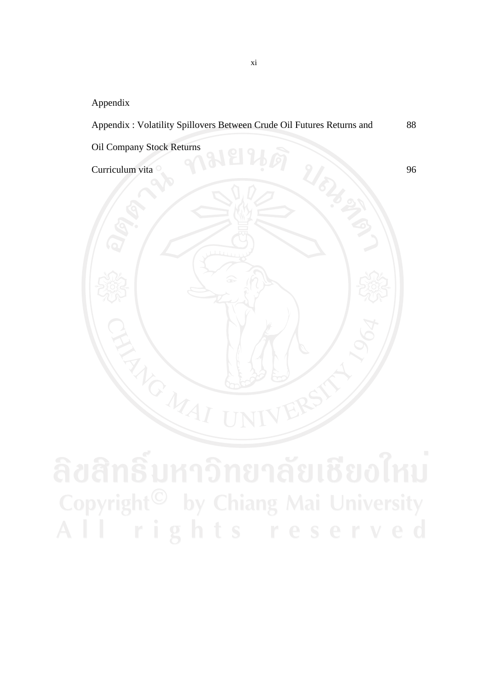Appendix

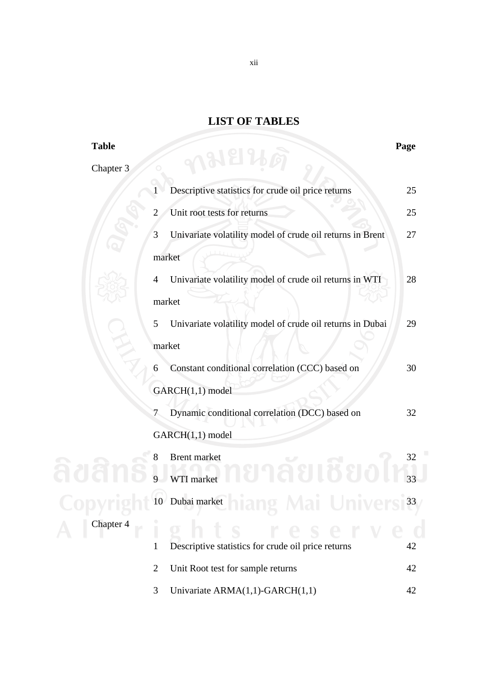## **LIST OF TABLES**

| <b>Table</b> |                                                                                | Page |
|--------------|--------------------------------------------------------------------------------|------|
| Chapter 3    | ∧มยน                                                                           |      |
|              | Descriptive statistics for crude oil price returns                             | 25   |
|              | Unit root tests for returns<br>2                                               | 25   |
|              | Univariate volatility model of crude oil returns in Brent<br>3                 | 27   |
|              | market                                                                         |      |
|              | Univariate volatility model of crude oil returns in WTI<br>4                   | 28   |
|              | market                                                                         |      |
|              | Univariate volatility model of crude oil returns in Dubai<br>5                 | 29   |
|              | market                                                                         |      |
|              | Constant conditional correlation (CCC) based on<br>6                           | 30   |
|              | GARCH(1,1) model                                                               |      |
|              | Dynamic conditional correlation (DCC) based on<br>7                            | 32   |
| Chapter 4    | GARCH(1,1) model                                                               |      |
|              | <b>Brent market</b><br>8                                                       | 32   |
|              | WTI market                                                                     | 33   |
|              | the contract of the contract of the contract of<br>10 Dubai market<br>mai Univ | 33   |
|              | e r                                                                            |      |
|              | Descriptive statistics for crude oil price returns<br>1                        | 42   |
|              | Unit Root test for sample returns<br>2                                         | 42   |
|              | Univariate ARMA(1,1)-GARCH(1,1)<br>3                                           | 42   |

xii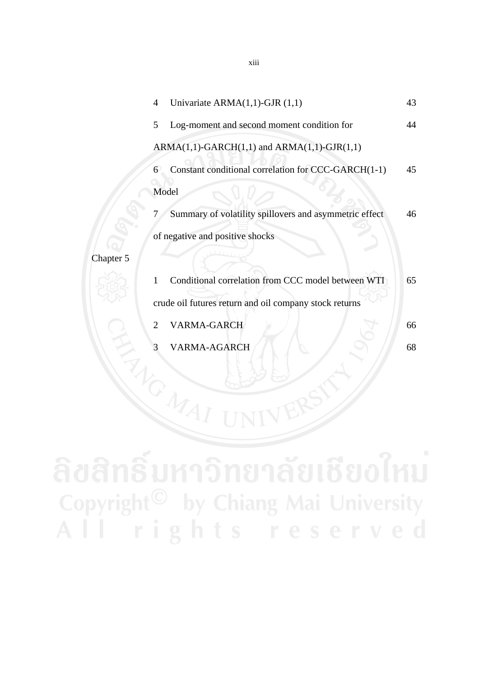|           | $\overline{4}$ | Univariate $ARMA(1,1)$ -GJR $(1,1)$                    | 43 |
|-----------|----------------|--------------------------------------------------------|----|
|           | 5              | Log-moment and second moment condition for             | 44 |
|           |                | $ARMA(1,1)-GARCH(1,1)$ and $ARMA(1,1)-GJR(1,1)$        |    |
|           | 6              | Constant conditional correlation for CCC-GARCH(1-1)    | 45 |
|           | Model          |                                                        |    |
|           |                | Summary of volatility spillovers and asymmetric effect | 46 |
|           |                | of negative and positive shocks                        |    |
| Chapter 5 |                |                                                        |    |
|           | 1              | Conditional correlation from CCC model between WTI     | 65 |
|           |                | crude oil futures return and oil company stock returns |    |
|           | $\overline{2}$ | VARMA-GARCH                                            | 66 |
|           |                | VARMA-AGARCH                                           | 68 |
|           |                |                                                        |    |